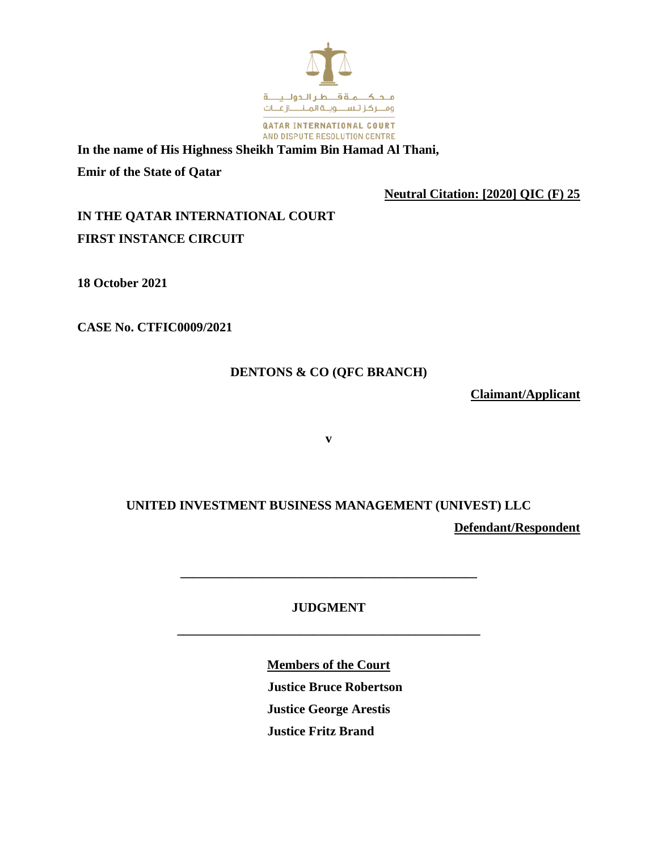

**In the name of His Highness Sheikh Tamim Bin Hamad Al Thani, Emir of the State of Qatar**

**Neutral Citation: [2020] QIC (F) 25**

**IN THE QATAR INTERNATIONAL COURT FIRST INSTANCE CIRCUIT**

**18 October 2021**

**CASE No. CTFIC0009/2021**

### **DENTONS & CO (QFC BRANCH)**

**Claimant/Applicant**

**v**

# **UNITED INVESTMENT BUSINESS MANAGEMENT (UNIVEST) LLC Defendant/Respondent**

## **JUDGMENT**

**\_\_\_\_\_\_\_\_\_\_\_\_\_\_\_\_\_\_\_\_\_\_\_\_\_\_\_\_\_\_\_\_\_\_\_\_\_\_\_\_\_\_\_\_\_\_\_**

**\_\_\_\_\_\_\_\_\_\_\_\_\_\_\_\_\_\_\_\_\_\_\_\_\_\_\_\_\_\_\_\_\_\_\_\_\_\_\_\_\_\_\_\_\_\_**

**Members of the Court Justice Bruce Robertson Justice George Arestis Justice Fritz Brand**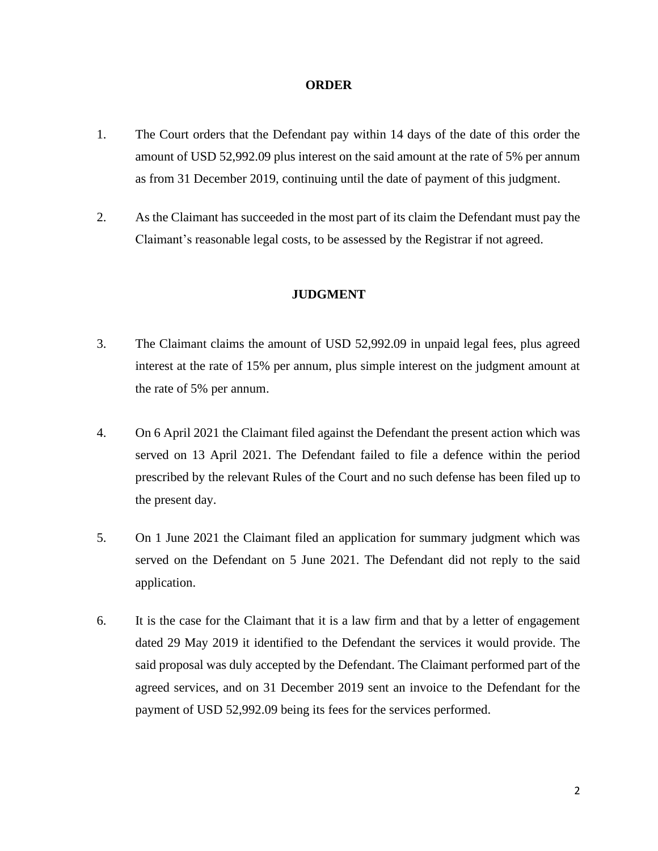### **ORDER**

- 1. The Court orders that the Defendant pay within 14 days of the date of this order the amount of USD 52,992.09 plus interest on the said amount at the rate of 5% per annum as from 31 December 2019, continuing until the date of payment of this judgment.
- 2. As the Claimant has succeeded in the most part of its claim the Defendant must pay the Claimant's reasonable legal costs, to be assessed by the Registrar if not agreed.

### **JUDGMENT**

- 3. The Claimant claims the amount of USD 52,992.09 in unpaid legal fees, plus agreed interest at the rate of 15% per annum, plus simple interest on the judgment amount at the rate of 5% per annum.
- 4. On 6 April 2021 the Claimant filed against the Defendant the present action which was served on 13 April 2021. The Defendant failed to file a defence within the period prescribed by the relevant Rules of the Court and no such defense has been filed up to the present day.
- 5. On 1 June 2021 the Claimant filed an application for summary judgment which was served on the Defendant on 5 June 2021. The Defendant did not reply to the said application.
- 6. It is the case for the Claimant that it is a law firm and that by a letter of engagement dated 29 May 2019 it identified to the Defendant the services it would provide. The said proposal was duly accepted by the Defendant. The Claimant performed part of the agreed services, and on 31 December 2019 sent an invoice to the Defendant for the payment of USD 52,992.09 being its fees for the services performed.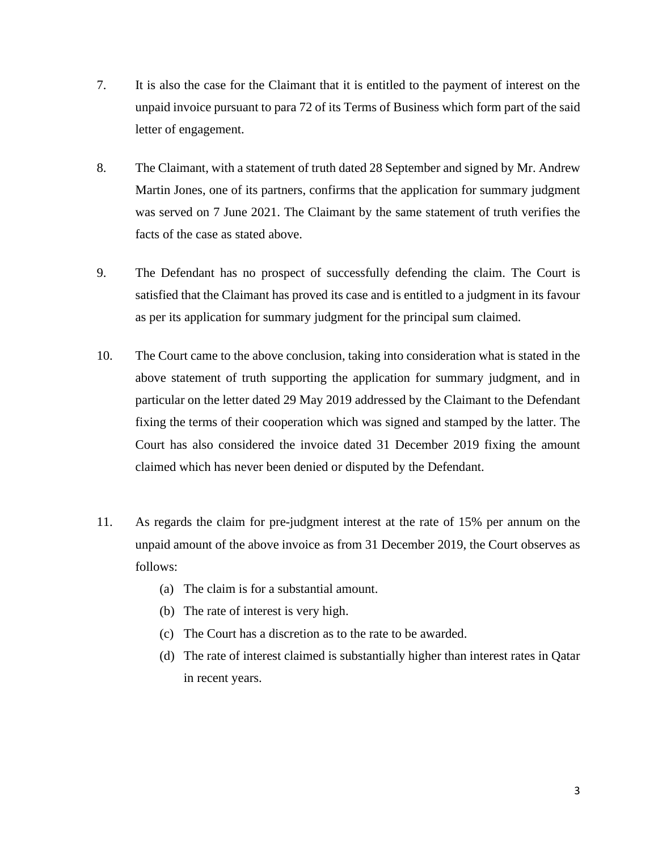- 7. It is also the case for the Claimant that it is entitled to the payment of interest on the unpaid invoice pursuant to para 72 of its Terms of Business which form part of the said letter of engagement.
- 8. The Claimant, with a statement of truth dated 28 September and signed by Mr. Andrew Martin Jones, one of its partners, confirms that the application for summary judgment was served on 7 June 2021. The Claimant by the same statement of truth verifies the facts of the case as stated above.
- 9. The Defendant has no prospect of successfully defending the claim. The Court is satisfied that the Claimant has proved its case and is entitled to a judgment in its favour as per its application for summary judgment for the principal sum claimed.
- 10. The Court came to the above conclusion, taking into consideration what is stated in the above statement of truth supporting the application for summary judgment, and in particular on the letter dated 29 May 2019 addressed by the Claimant to the Defendant fixing the terms of their cooperation which was signed and stamped by the latter. The Court has also considered the invoice dated 31 December 2019 fixing the amount claimed which has never been denied or disputed by the Defendant.
- 11. As regards the claim for pre-judgment interest at the rate of 15% per annum on the unpaid amount of the above invoice as from 31 December 2019, the Court observes as follows:
	- (a) The claim is for a substantial amount.
	- (b) The rate of interest is very high.
	- (c) The Court has a discretion as to the rate to be awarded.
	- (d) The rate of interest claimed is substantially higher than interest rates in Qatar in recent years.